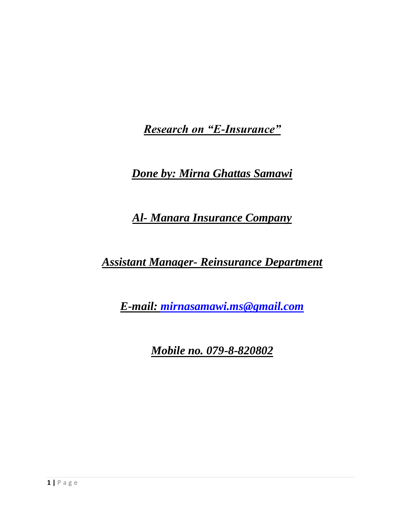*Research on "E-Insurance"*

*Done by: Mirna Ghattas Samawi*

*Al- Manara Insurance Company*

*Assistant Manager- Reinsurance Department*

*E-mail: [mirnasamawi.ms@gmail.com](mailto:mirnasamawi.ms@gmail.com)*

*Mobile no. 079-8-820802*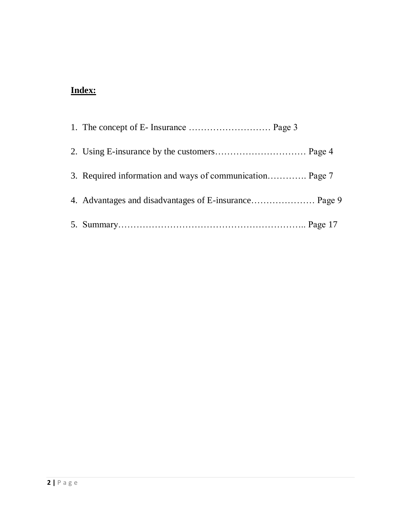# **Index:**

| 3. Required information and ways of communication Page 7 |
|----------------------------------------------------------|
|                                                          |
|                                                          |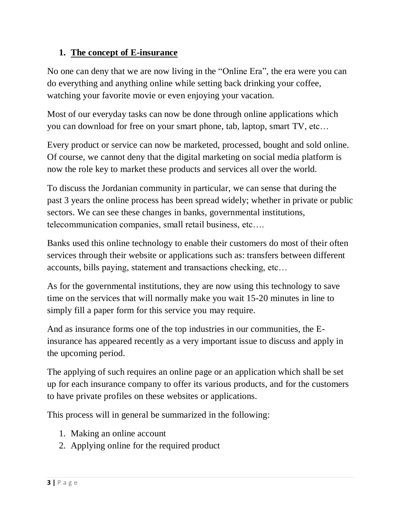## **1. The concept of E-insurance**

No one can deny that we are now living in the "Online Era", the era were you can do everything and anything online while setting back drinking your coffee, watching your favorite movie or even enjoying your vacation.

Most of our everyday tasks can now be done through online applications which you can download for free on your smart phone, tab, laptop, smart TV, etc…

Every product or service can now be marketed, processed, bought and sold online. Of course, we cannot deny that the digital marketing on social media platform is now the role key to market these products and services all over the world.

To discuss the Jordanian community in particular, we can sense that during the past 3 years the online process has been spread widely; whether in private or public sectors. We can see these changes in banks, governmental institutions, telecommunication companies, small retail business, etc….

Banks used this online technology to enable their customers do most of their often services through their website or applications such as: transfers between different accounts, bills paying, statement and transactions checking, etc…

As for the governmental institutions, they are now using this technology to save time on the services that will normally make you wait 15-20 minutes in line to simply fill a paper form for this service you may require.

And as insurance forms one of the top industries in our communities, the Einsurance has appeared recently as a very important issue to discuss and apply in the upcoming period.

The applying of such requires an online page or an application which shall be set up for each insurance company to offer its various products, and for the customers to have private profiles on these websites or applications.

This process will in general be summarized in the following:

- 1. Making an online account
- 2. Applying online for the required product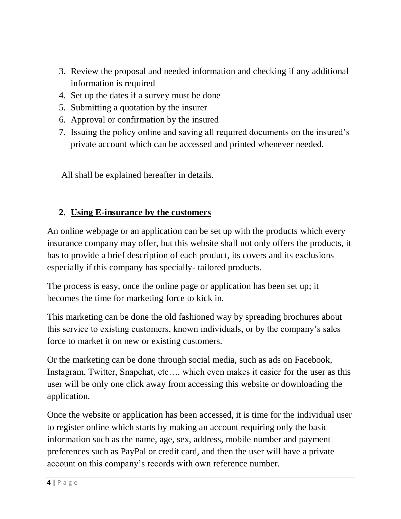- 3. Review the proposal and needed information and checking if any additional information is required
- 4. Set up the dates if a survey must be done
- 5. Submitting a quotation by the insurer
- 6. Approval or confirmation by the insured
- 7. Issuing the policy online and saving all required documents on the insured's private account which can be accessed and printed whenever needed.

All shall be explained hereafter in details.

## **2. Using E-insurance by the customers**

An online webpage or an application can be set up with the products which every insurance company may offer, but this website shall not only offers the products, it has to provide a brief description of each product, its covers and its exclusions especially if this company has specially- tailored products.

The process is easy, once the online page or application has been set up; it becomes the time for marketing force to kick in.

This marketing can be done the old fashioned way by spreading brochures about this service to existing customers, known individuals, or by the company's sales force to market it on new or existing customers.

Or the marketing can be done through social media, such as ads on Facebook, Instagram, Twitter, Snapchat, etc…. which even makes it easier for the user as this user will be only one click away from accessing this website or downloading the application.

Once the website or application has been accessed, it is time for the individual user to register online which starts by making an account requiring only the basic information such as the name, age, sex, address, mobile number and payment preferences such as PayPal or credit card, and then the user will have a private account on this company's records with own reference number.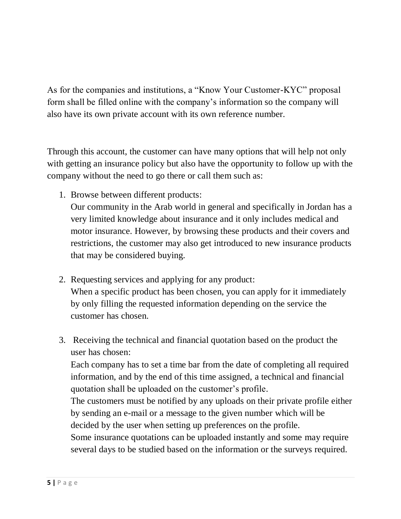As for the companies and institutions, a "Know Your Customer-KYC" proposal form shall be filled online with the company's information so the company will also have its own private account with its own reference number.

Through this account, the customer can have many options that will help not only with getting an insurance policy but also have the opportunity to follow up with the company without the need to go there or call them such as:

1. Browse between different products:

Our community in the Arab world in general and specifically in Jordan has a very limited knowledge about insurance and it only includes medical and motor insurance. However, by browsing these products and their covers and restrictions, the customer may also get introduced to new insurance products that may be considered buying.

- 2. Requesting services and applying for any product: When a specific product has been chosen, you can apply for it immediately by only filling the requested information depending on the service the customer has chosen.
- 3. Receiving the technical and financial quotation based on the product the user has chosen:

Each company has to set a time bar from the date of completing all required information, and by the end of this time assigned, a technical and financial quotation shall be uploaded on the customer's profile.

The customers must be notified by any uploads on their private profile either by sending an e-mail or a message to the given number which will be decided by the user when setting up preferences on the profile.

Some insurance quotations can be uploaded instantly and some may require several days to be studied based on the information or the surveys required.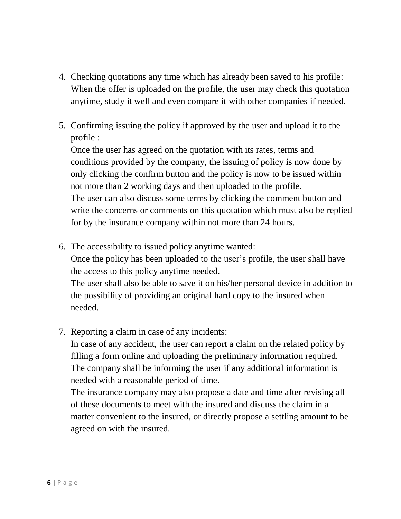- 4. Checking quotations any time which has already been saved to his profile: When the offer is uploaded on the profile, the user may check this quotation anytime, study it well and even compare it with other companies if needed.
- 5. Confirming issuing the policy if approved by the user and upload it to the profile :

Once the user has agreed on the quotation with its rates, terms and conditions provided by the company, the issuing of policy is now done by only clicking the confirm button and the policy is now to be issued within not more than 2 working days and then uploaded to the profile. The user can also discuss some terms by clicking the comment button and write the concerns or comments on this quotation which must also be replied for by the insurance company within not more than 24 hours.

- 6. The accessibility to issued policy anytime wanted: Once the policy has been uploaded to the user's profile, the user shall have the access to this policy anytime needed. The user shall also be able to save it on his/her personal device in addition to the possibility of providing an original hard copy to the insured when needed.
- 7. Reporting a claim in case of any incidents:

In case of any accident, the user can report a claim on the related policy by filling a form online and uploading the preliminary information required. The company shall be informing the user if any additional information is needed with a reasonable period of time.

The insurance company may also propose a date and time after revising all of these documents to meet with the insured and discuss the claim in a matter convenient to the insured, or directly propose a settling amount to be agreed on with the insured.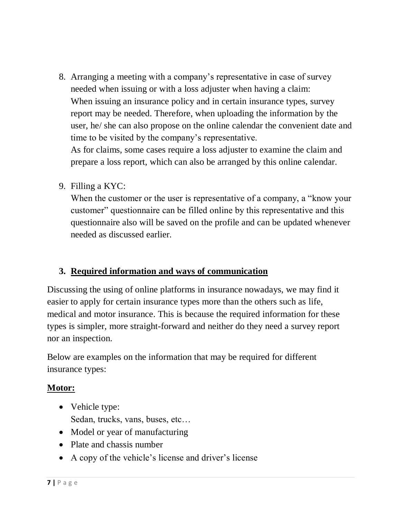8. Arranging a meeting with a company's representative in case of survey needed when issuing or with a loss adjuster when having a claim: When issuing an insurance policy and in certain insurance types, survey report may be needed. Therefore, when uploading the information by the user, he/ she can also propose on the online calendar the convenient date and time to be visited by the company's representative. As for claims, some cases require a loss adjuster to examine the claim and

prepare a loss report, which can also be arranged by this online calendar.

9. Filling a KYC:

When the customer or the user is representative of a company, a "know your" customer" questionnaire can be filled online by this representative and this questionnaire also will be saved on the profile and can be updated whenever needed as discussed earlier.

## **3. Required information and ways of communication**

Discussing the using of online platforms in insurance nowadays, we may find it easier to apply for certain insurance types more than the others such as life, medical and motor insurance. This is because the required information for these types is simpler, more straight-forward and neither do they need a survey report nor an inspection.

Below are examples on the information that may be required for different insurance types:

## **Motor:**

- Vehicle type: Sedan, trucks, vans, buses, etc…
- Model or year of manufacturing
- Plate and chassis number
- A copy of the vehicle's license and driver's license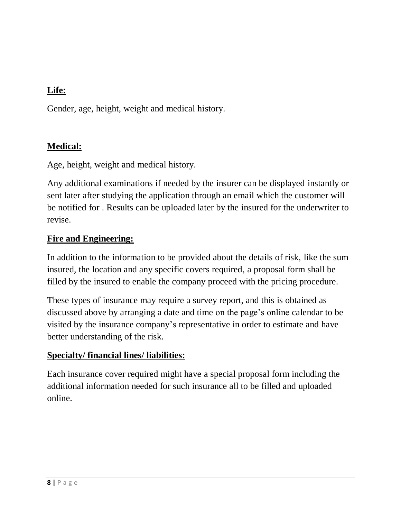## **Life:**

Gender, age, height, weight and medical history.

## **Medical:**

Age, height, weight and medical history.

Any additional examinations if needed by the insurer can be displayed instantly or sent later after studying the application through an email which the customer will be notified for . Results can be uploaded later by the insured for the underwriter to revise.

#### **Fire and Engineering:**

In addition to the information to be provided about the details of risk, like the sum insured, the location and any specific covers required, a proposal form shall be filled by the insured to enable the company proceed with the pricing procedure.

These types of insurance may require a survey report, and this is obtained as discussed above by arranging a date and time on the page's online calendar to be visited by the insurance company's representative in order to estimate and have better understanding of the risk.

#### **Specialty/ financial lines/ liabilities:**

Each insurance cover required might have a special proposal form including the additional information needed for such insurance all to be filled and uploaded online.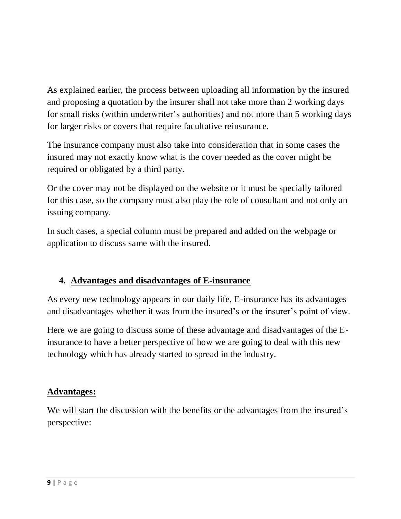As explained earlier, the process between uploading all information by the insured and proposing a quotation by the insurer shall not take more than 2 working days for small risks (within underwriter's authorities) and not more than 5 working days for larger risks or covers that require facultative reinsurance.

The insurance company must also take into consideration that in some cases the insured may not exactly know what is the cover needed as the cover might be required or obligated by a third party.

Or the cover may not be displayed on the website or it must be specially tailored for this case, so the company must also play the role of consultant and not only an issuing company.

In such cases, a special column must be prepared and added on the webpage or application to discuss same with the insured.

## **4. Advantages and disadvantages of E-insurance**

As every new technology appears in our daily life, E-insurance has its advantages and disadvantages whether it was from the insured's or the insurer's point of view.

Here we are going to discuss some of these advantage and disadvantages of the Einsurance to have a better perspective of how we are going to deal with this new technology which has already started to spread in the industry.

## **Advantages:**

We will start the discussion with the benefits or the advantages from the insured's perspective: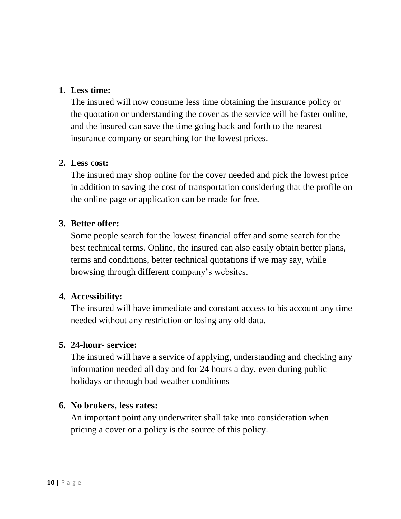#### **1. Less time:**

The insured will now consume less time obtaining the insurance policy or the quotation or understanding the cover as the service will be faster online, and the insured can save the time going back and forth to the nearest insurance company or searching for the lowest prices.

#### **2. Less cost:**

The insured may shop online for the cover needed and pick the lowest price in addition to saving the cost of transportation considering that the profile on the online page or application can be made for free.

## **3. Better offer:**

Some people search for the lowest financial offer and some search for the best technical terms. Online, the insured can also easily obtain better plans, terms and conditions, better technical quotations if we may say, while browsing through different company's websites.

## **4. Accessibility:**

The insured will have immediate and constant access to his account any time needed without any restriction or losing any old data.

## **5. 24-hour- service:**

The insured will have a service of applying, understanding and checking any information needed all day and for 24 hours a day, even during public holidays or through bad weather conditions

## **6. No brokers, less rates:**

An important point any underwriter shall take into consideration when pricing a cover or a policy is the source of this policy.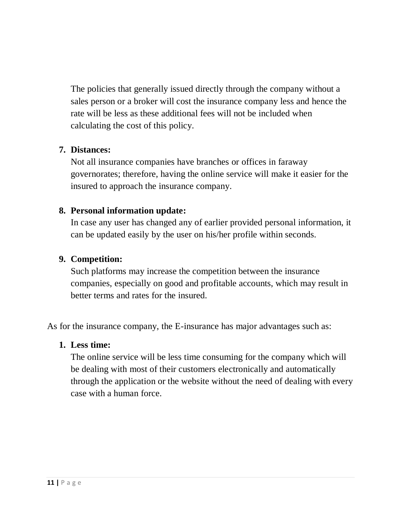The policies that generally issued directly through the company without a sales person or a broker will cost the insurance company less and hence the rate will be less as these additional fees will not be included when calculating the cost of this policy.

#### **7. Distances:**

Not all insurance companies have branches or offices in faraway governorates; therefore, having the online service will make it easier for the insured to approach the insurance company.

#### **8. Personal information update:**

In case any user has changed any of earlier provided personal information, it can be updated easily by the user on his/her profile within seconds.

#### **9. Competition:**

Such platforms may increase the competition between the insurance companies, especially on good and profitable accounts, which may result in better terms and rates for the insured.

As for the insurance company, the E-insurance has major advantages such as:

#### **1. Less time:**

The online service will be less time consuming for the company which will be dealing with most of their customers electronically and automatically through the application or the website without the need of dealing with every case with a human force.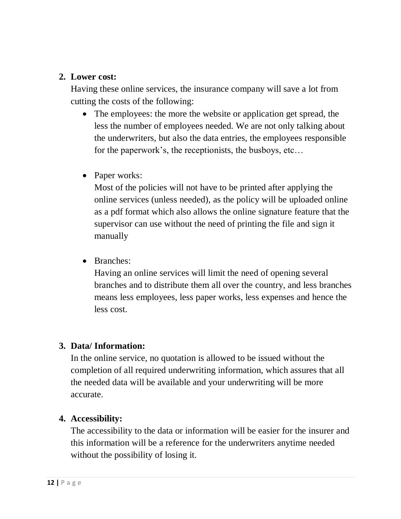#### **2. Lower cost:**

Having these online services, the insurance company will save a lot from cutting the costs of the following:

- The employees: the more the website or application get spread, the less the number of employees needed. We are not only talking about the underwriters, but also the data entries, the employees responsible for the paperwork's, the receptionists, the busboys, etc…
- Paper works:

Most of the policies will not have to be printed after applying the online services (unless needed), as the policy will be uploaded online as a pdf format which also allows the online signature feature that the supervisor can use without the need of printing the file and sign it manually

• Branches:

Having an online services will limit the need of opening several branches and to distribute them all over the country, and less branches means less employees, less paper works, less expenses and hence the less cost.

## **3. Data/ Information:**

In the online service, no quotation is allowed to be issued without the completion of all required underwriting information, which assures that all the needed data will be available and your underwriting will be more accurate.

#### **4. Accessibility:**

The accessibility to the data or information will be easier for the insurer and this information will be a reference for the underwriters anytime needed without the possibility of losing it.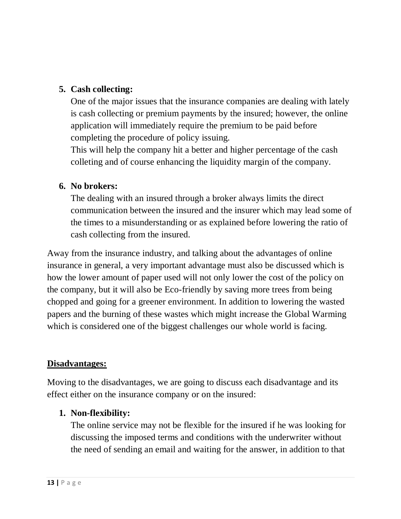## **5. Cash collecting:**

One of the major issues that the insurance companies are dealing with lately is cash collecting or premium payments by the insured; however, the online application will immediately require the premium to be paid before completing the procedure of policy issuing.

This will help the company hit a better and higher percentage of the cash colleting and of course enhancing the liquidity margin of the company.

#### **6. No brokers:**

The dealing with an insured through a broker always limits the direct communication between the insured and the insurer which may lead some of the times to a misunderstanding or as explained before lowering the ratio of cash collecting from the insured.

Away from the insurance industry, and talking about the advantages of online insurance in general, a very important advantage must also be discussed which is how the lower amount of paper used will not only lower the cost of the policy on the company, but it will also be Eco-friendly by saving more trees from being chopped and going for a greener environment. In addition to lowering the wasted papers and the burning of these wastes which might increase the Global Warming which is considered one of the biggest challenges our whole world is facing.

## **Disadvantages:**

Moving to the disadvantages, we are going to discuss each disadvantage and its effect either on the insurance company or on the insured:

## **1. Non-flexibility:**

The online service may not be flexible for the insured if he was looking for discussing the imposed terms and conditions with the underwriter without the need of sending an email and waiting for the answer, in addition to that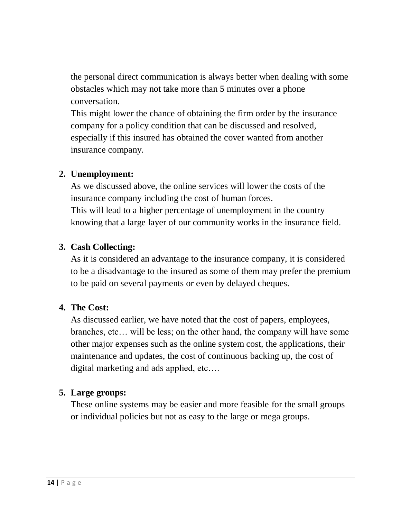the personal direct communication is always better when dealing with some obstacles which may not take more than 5 minutes over a phone conversation.

This might lower the chance of obtaining the firm order by the insurance company for a policy condition that can be discussed and resolved, especially if this insured has obtained the cover wanted from another insurance company.

#### **2. Unemployment:**

As we discussed above, the online services will lower the costs of the insurance company including the cost of human forces. This will lead to a higher percentage of unemployment in the country knowing that a large layer of our community works in the insurance field.

## **3. Cash Collecting:**

As it is considered an advantage to the insurance company, it is considered to be a disadvantage to the insured as some of them may prefer the premium to be paid on several payments or even by delayed cheques.

## **4. The Cost:**

As discussed earlier, we have noted that the cost of papers, employees, branches, etc… will be less; on the other hand, the company will have some other major expenses such as the online system cost, the applications, their maintenance and updates, the cost of continuous backing up, the cost of digital marketing and ads applied, etc….

## **5. Large groups:**

These online systems may be easier and more feasible for the small groups or individual policies but not as easy to the large or mega groups.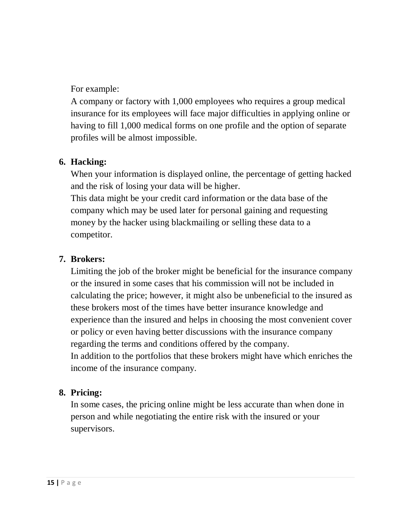For example:

A company or factory with 1,000 employees who requires a group medical insurance for its employees will face major difficulties in applying online or having to fill 1,000 medical forms on one profile and the option of separate profiles will be almost impossible.

## **6. Hacking:**

When your information is displayed online, the percentage of getting hacked and the risk of losing your data will be higher.

This data might be your credit card information or the data base of the company which may be used later for personal gaining and requesting money by the hacker using blackmailing or selling these data to a competitor.

#### **7. Brokers:**

Limiting the job of the broker might be beneficial for the insurance company or the insured in some cases that his commission will not be included in calculating the price; however, it might also be unbeneficial to the insured as these brokers most of the times have better insurance knowledge and experience than the insured and helps in choosing the most convenient cover or policy or even having better discussions with the insurance company regarding the terms and conditions offered by the company. In addition to the portfolios that these brokers might have which enriches the income of the insurance company.

## **8. Pricing:**

In some cases, the pricing online might be less accurate than when done in person and while negotiating the entire risk with the insured or your supervisors.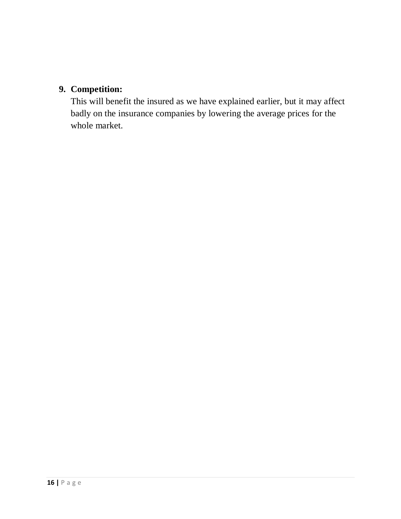## **9. Competition:**

This will benefit the insured as we have explained earlier, but it may affect badly on the insurance companies by lowering the average prices for the whole market.